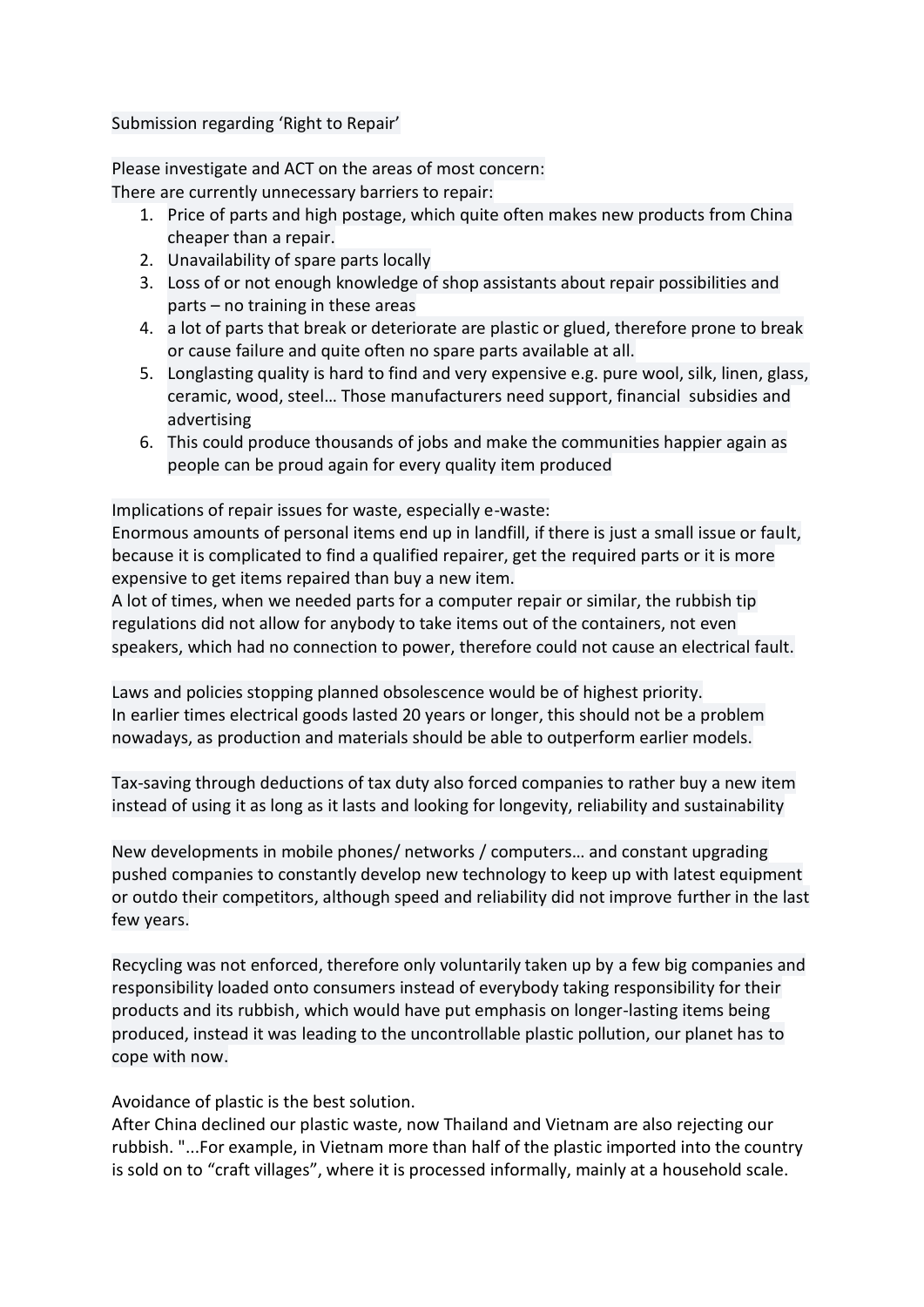Submission regarding 'Right to Repair'

Please investigate and ACT on the areas of most concern: There are currently unnecessary barriers to repair:

- 1. Price of parts and high postage, which quite often makes new products from China cheaper than a repair.
- 2. Unavailability of spare parts locally
- 3. Loss of or not enough knowledge of shop assistants about repair possibilities and parts – no training in these areas
- 4. a lot of parts that break or deteriorate are plastic or glued, therefore prone to break or cause failure and quite often no spare parts available at all.
- 5. Longlasting quality is hard to find and very expensive e.g. pure wool, silk, linen, glass, ceramic, wood, steel… Those manufacturers need support, financial subsidies and advertising
- 6. This could produce thousands of jobs and make the communities happier again as people can be proud again for every quality item produced

Implications of repair issues for waste, especially e-waste:

Enormous amounts of personal items end up in landfill, if there is just a small issue or fault, because it is complicated to find a qualified repairer, get the required parts or it is more expensive to get items repaired than buy a new item.

A lot of times, when we needed parts for a computer repair or similar, the rubbish tip regulations did not allow for anybody to take items out of the containers, not even speakers, which had no connection to power, therefore could not cause an electrical fault.

Laws and policies stopping planned obsolescence would be of highest priority. In earlier times electrical goods lasted 20 years or longer, this should not be a problem nowadays, as production and materials should be able to outperform earlier models.

Tax-saving through deductions of tax duty also forced companies to rather buy a new item instead of using it as long as it lasts and looking for longevity, reliability and sustainability

New developments in mobile phones/ networks / computers… and constant upgrading pushed companies to constantly develop new technology to keep up with latest equipment or outdo their competitors, although speed and reliability did not improve further in the last few years.

Recycling was not enforced, therefore only voluntarily taken up by a few big companies and responsibility loaded onto consumers instead of everybody taking responsibility for their products and its rubbish, which would have put emphasis on longer-lasting items being produced, instead it was leading to the uncontrollable plastic pollution, our planet has to cope with now.

Avoidance of plastic is the best solution.

After China declined our plastic waste, now Thailand and Vietnam are also rejecting our rubbish. "...For example, in Vietnam more than half of the plastic imported into the country is sold on to "craft villages", where it is processed informally, mainly at a household scale.